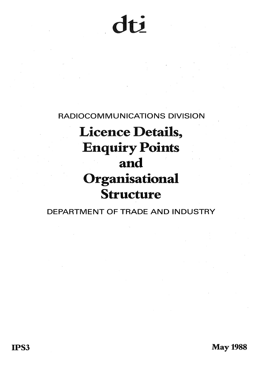$\mathsf{f}\mathsf{f}$ 

RADIOCOMMUNICATIONS DIVISION

# Licence Details, Enquiry Points and Organisational Structure

DEPARTMENT OF TRADE AND INDUSTRY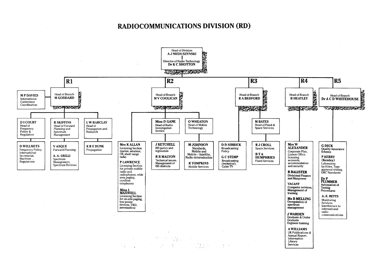## RADIOCOMMUNICATIONS DIVISION (RD)